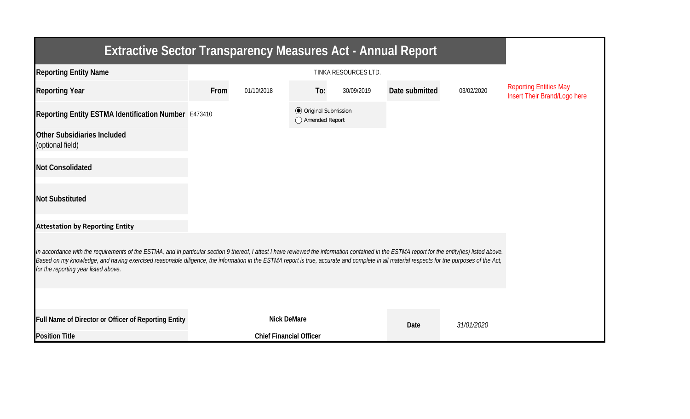| <b>Extractive Sector Transparency Measures Act - Annual Report</b>                                                                                                                                                                                                                                                                                                                                                                    |      |                                |                                                  |            |                |            |                                                               |  |  |  |
|---------------------------------------------------------------------------------------------------------------------------------------------------------------------------------------------------------------------------------------------------------------------------------------------------------------------------------------------------------------------------------------------------------------------------------------|------|--------------------------------|--------------------------------------------------|------------|----------------|------------|---------------------------------------------------------------|--|--|--|
| <b>Reporting Entity Name</b>                                                                                                                                                                                                                                                                                                                                                                                                          |      |                                |                                                  |            |                |            |                                                               |  |  |  |
| <b>Reporting Year</b>                                                                                                                                                                                                                                                                                                                                                                                                                 | From | 01/10/2018                     | To:                                              | 30/09/2019 | Date submitted | 03/02/2020 | <b>Reporting Entities May</b><br>Insert Their Brand/Logo here |  |  |  |
| Reporting Entity ESTMA Identification Number E473410                                                                                                                                                                                                                                                                                                                                                                                  |      |                                | <b>◎</b> Original Submission<br>◯ Amended Report |            |                |            |                                                               |  |  |  |
| <b>Other Subsidiaries Included</b><br>(optional field)                                                                                                                                                                                                                                                                                                                                                                                |      |                                |                                                  |            |                |            |                                                               |  |  |  |
| <b>Not Consolidated</b>                                                                                                                                                                                                                                                                                                                                                                                                               |      |                                |                                                  |            |                |            |                                                               |  |  |  |
| <b>Not Substituted</b>                                                                                                                                                                                                                                                                                                                                                                                                                |      |                                |                                                  |            |                |            |                                                               |  |  |  |
| <b>Attestation by Reporting Entity</b>                                                                                                                                                                                                                                                                                                                                                                                                |      |                                |                                                  |            |                |            |                                                               |  |  |  |
| In accordance with the requirements of the ESTMA, and in particular section 9 thereof, I attest I have reviewed the information contained in the ESTMA report for the entity(ies) listed above.<br>Based on my knowledge, and having exercised reasonable diligence, the information in the ESTMA report is true, accurate and complete in all material respects for the purposes of the Act,<br>for the reporting year listed above. |      |                                |                                                  |            |                |            |                                                               |  |  |  |
|                                                                                                                                                                                                                                                                                                                                                                                                                                       |      |                                |                                                  |            |                |            |                                                               |  |  |  |
| Full Name of Director or Officer of Reporting Entity                                                                                                                                                                                                                                                                                                                                                                                  |      | <b>Nick DeMare</b>             |                                                  |            | Date           | 31/01/2020 |                                                               |  |  |  |
| <b>Position Title</b>                                                                                                                                                                                                                                                                                                                                                                                                                 |      | <b>Chief Financial Officer</b> |                                                  |            |                |            |                                                               |  |  |  |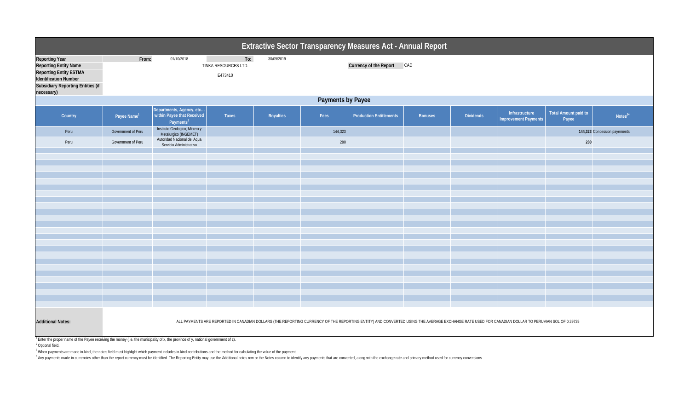|                                                                                                                                                      | Extractive Sector Transparency Measures Act - Annual Report<br>To:<br>01/10/2018<br>30/09/2019<br>From:<br>Currency of the Report CAD<br>TINKA RESOURCES LTD.<br>E473410<br>Payments by Payee<br>Departments, Agency, etc<br><b>Total Amount paid to</b><br>Infrastructure<br>within Payee that Received<br>Notes <sup>34</sup><br>Taxes<br>Royalties<br>Fees<br><b>Production Entitlements</b><br><b>Dividends</b><br>Country<br>Payee Name <sup>1</sup><br><b>Bonuses</b><br><b>Improvement Payments</b><br>Payee<br>Payments <sup>2</sup><br>Instituto Geologico, Minero y<br>Government of Peru<br>144,323<br>Peru<br>144,323 Concession payements<br>Metalurgico (INGEMET)<br>Autoridad Nacional del Aqua<br>Government of Peru<br>280<br>Peru<br>280 |                         |  |  |  |  |  |  |  |  |  |
|------------------------------------------------------------------------------------------------------------------------------------------------------|------------------------------------------------------------------------------------------------------------------------------------------------------------------------------------------------------------------------------------------------------------------------------------------------------------------------------------------------------------------------------------------------------------------------------------------------------------------------------------------------------------------------------------------------------------------------------------------------------------------------------------------------------------------------------------------------------------------------------------------------------------|-------------------------|--|--|--|--|--|--|--|--|--|
| <b>Reporting Year</b><br>Reporting Entity Name<br>Reporting Entity ESTMA<br>Identification Number<br>Subsidiary Reporting Entities (if<br>necessary) |                                                                                                                                                                                                                                                                                                                                                                                                                                                                                                                                                                                                                                                                                                                                                            |                         |  |  |  |  |  |  |  |  |  |
|                                                                                                                                                      |                                                                                                                                                                                                                                                                                                                                                                                                                                                                                                                                                                                                                                                                                                                                                            |                         |  |  |  |  |  |  |  |  |  |
|                                                                                                                                                      |                                                                                                                                                                                                                                                                                                                                                                                                                                                                                                                                                                                                                                                                                                                                                            |                         |  |  |  |  |  |  |  |  |  |
|                                                                                                                                                      |                                                                                                                                                                                                                                                                                                                                                                                                                                                                                                                                                                                                                                                                                                                                                            |                         |  |  |  |  |  |  |  |  |  |
|                                                                                                                                                      |                                                                                                                                                                                                                                                                                                                                                                                                                                                                                                                                                                                                                                                                                                                                                            | Servicio Administrativo |  |  |  |  |  |  |  |  |  |
|                                                                                                                                                      |                                                                                                                                                                                                                                                                                                                                                                                                                                                                                                                                                                                                                                                                                                                                                            |                         |  |  |  |  |  |  |  |  |  |
|                                                                                                                                                      |                                                                                                                                                                                                                                                                                                                                                                                                                                                                                                                                                                                                                                                                                                                                                            |                         |  |  |  |  |  |  |  |  |  |
|                                                                                                                                                      |                                                                                                                                                                                                                                                                                                                                                                                                                                                                                                                                                                                                                                                                                                                                                            |                         |  |  |  |  |  |  |  |  |  |
|                                                                                                                                                      |                                                                                                                                                                                                                                                                                                                                                                                                                                                                                                                                                                                                                                                                                                                                                            |                         |  |  |  |  |  |  |  |  |  |
|                                                                                                                                                      |                                                                                                                                                                                                                                                                                                                                                                                                                                                                                                                                                                                                                                                                                                                                                            |                         |  |  |  |  |  |  |  |  |  |
|                                                                                                                                                      |                                                                                                                                                                                                                                                                                                                                                                                                                                                                                                                                                                                                                                                                                                                                                            |                         |  |  |  |  |  |  |  |  |  |
|                                                                                                                                                      |                                                                                                                                                                                                                                                                                                                                                                                                                                                                                                                                                                                                                                                                                                                                                            |                         |  |  |  |  |  |  |  |  |  |
|                                                                                                                                                      |                                                                                                                                                                                                                                                                                                                                                                                                                                                                                                                                                                                                                                                                                                                                                            |                         |  |  |  |  |  |  |  |  |  |
| <b>Additional Notes:</b>                                                                                                                             | ALL PAYMENTS ARE REPORTED IN CANADIAN DOLLARS (THE REPORTING CURRENCY OF THE REPORTING ENTITY) AND CONVERTED USING THE AVERAGE EXCHANGE RATE USED FOR CANADIAN DOLLAR TO PERUVIAN SOL OF 0.39735<br>$h \circ h + h \circ f = h$                                                                                                                                                                                                                                                                                                                                                                                                                                                                                                                            |                         |  |  |  |  |  |  |  |  |  |

<sup>1</sup> Enter the proper name of the Payee receiving the money (i.e. the municipality of x, the province of y, national government of z).

2 Optional field.

<sup>3</sup> When payments are made in-kind, the notes field must highlight which payment includes in-kind contributions and the method for calculating the value of the payment.

Any payments made in currencies other than the report currency must be identified. The Reporting Entity may use the Additional notes row or the Notes column to identify any payments that are converted, along with the excha